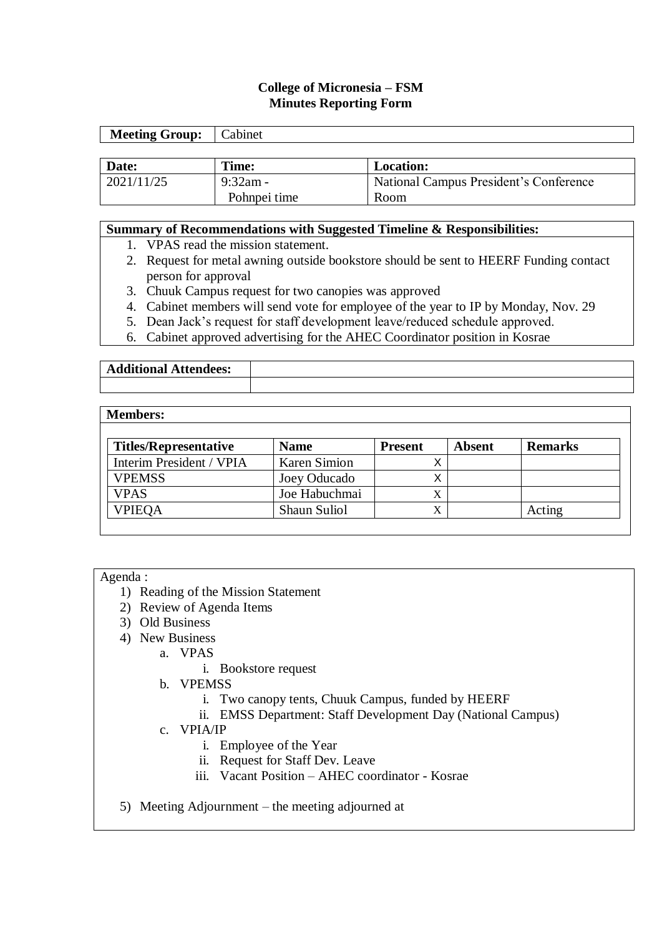# **College of Micronesia – FSM Minutes Reporting Form**

| <b>Meeting Group:</b> | Cabinet      |                                        |
|-----------------------|--------------|----------------------------------------|
|                       |              |                                        |
| Date:                 | Time:        | <b>Location:</b>                       |
| 2021/11/25            | $9:32$ am -  | National Campus President's Conference |
|                       | Pohnpei time | Room                                   |

#### **Summary of Recommendations with Suggested Timeline & Responsibilities:**

- 1. VPAS read the mission statement.
- 2. Request for metal awning outside bookstore should be sent to HEERF Funding contact person for approval
- 3. Chuuk Campus request for two canopies was approved
- 4. Cabinet members will send vote for employee of the year to IP by Monday, Nov. 29
- 5. Dean Jack's request for staff development leave/reduced schedule approved.
- 6. Cabinet approved advertising for the AHEC Coordinator position in Kosrae

| <b>Additional Attendees:</b> |  |
|------------------------------|--|
|                              |  |

#### **Members:**

| <b>Titles/Representative</b> | <b>Name</b>         | <b>Present</b> | Absent | <b>Remarks</b> |
|------------------------------|---------------------|----------------|--------|----------------|
| Interim President / VPIA     | <b>Karen Simion</b> |                |        |                |
| <b>VPEMSS</b>                | Joey Oducado        |                |        |                |
| <b>VPAS</b>                  | Joe Habuchmai       |                |        |                |
| <b>VPIEQA</b>                | <b>Shaun Suliol</b> |                |        | Acting         |

#### Agenda :

- 1) Reading of the Mission Statement
- 2) Review of Agenda Items
- 3) Old Business
- 4) New Business
	- a. VPAS
		- i. Bookstore request
		- b. VPEMSS
			- i. Two canopy tents, Chuuk Campus, funded by HEERF
			- ii. EMSS Department: Staff Development Day (National Campus)
	- c. VPIA/IP
		- i. Employee of the Year
		- ii. Request for Staff Dev. Leave
		- iii. Vacant Position AHEC coordinator Kosrae
- 5) Meeting Adjournment the meeting adjourned at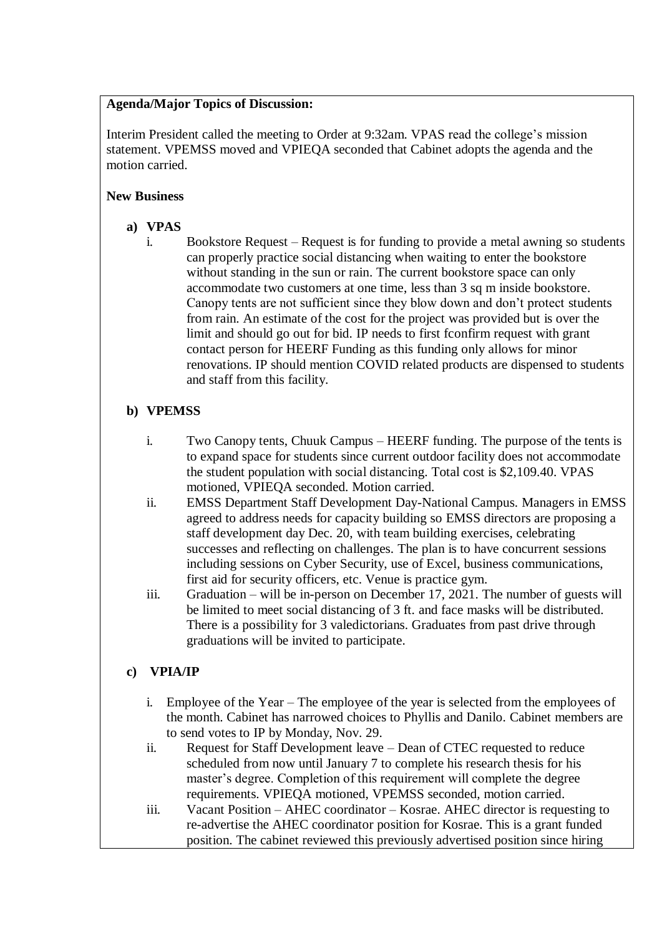## **Agenda/Major Topics of Discussion:**

Interim President called the meeting to Order at 9:32am. VPAS read the college's mission statement. VPEMSS moved and VPIEQA seconded that Cabinet adopts the agenda and the motion carried.

# **New Business**

# **a) VPAS**

i. Bookstore Request – Request is for funding to provide a metal awning so students can properly practice social distancing when waiting to enter the bookstore without standing in the sun or rain. The current bookstore space can only accommodate two customers at one time, less than 3 sq m inside bookstore. Canopy tents are not sufficient since they blow down and don't protect students from rain. An estimate of the cost for the project was provided but is over the limit and should go out for bid. IP needs to first fconfirm request with grant contact person for HEERF Funding as this funding only allows for minor renovations. IP should mention COVID related products are dispensed to students and staff from this facility.

# **b) VPEMSS**

- i. Two Canopy tents, Chuuk Campus HEERF funding. The purpose of the tents is to expand space for students since current outdoor facility does not accommodate the student population with social distancing. Total cost is \$2,109.40. VPAS motioned, VPIEQA seconded. Motion carried.
- ii. EMSS Department Staff Development Day-National Campus. Managers in EMSS agreed to address needs for capacity building so EMSS directors are proposing a staff development day Dec. 20, with team building exercises, celebrating successes and reflecting on challenges. The plan is to have concurrent sessions including sessions on Cyber Security, use of Excel, business communications, first aid for security officers, etc. Venue is practice gym.
- iii. Graduation will be in-person on December 17, 2021. The number of guests will be limited to meet social distancing of 3 ft. and face masks will be distributed. There is a possibility for 3 valedictorians. Graduates from past drive through graduations will be invited to participate.

# **c) VPIA/IP**

- i. Employee of the Year The employee of the year is selected from the employees of the month. Cabinet has narrowed choices to Phyllis and Danilo. Cabinet members are to send votes to IP by Monday, Nov. 29.
- ii. Request for Staff Development leave Dean of CTEC requested to reduce scheduled from now until January 7 to complete his research thesis for his master's degree. Completion of this requirement will complete the degree requirements. VPIEQA motioned, VPEMSS seconded, motion carried.
- iii. Vacant Position AHEC coordinator Kosrae. AHEC director is requesting to re-advertise the AHEC coordinator position for Kosrae. This is a grant funded position. The cabinet reviewed this previously advertised position since hiring